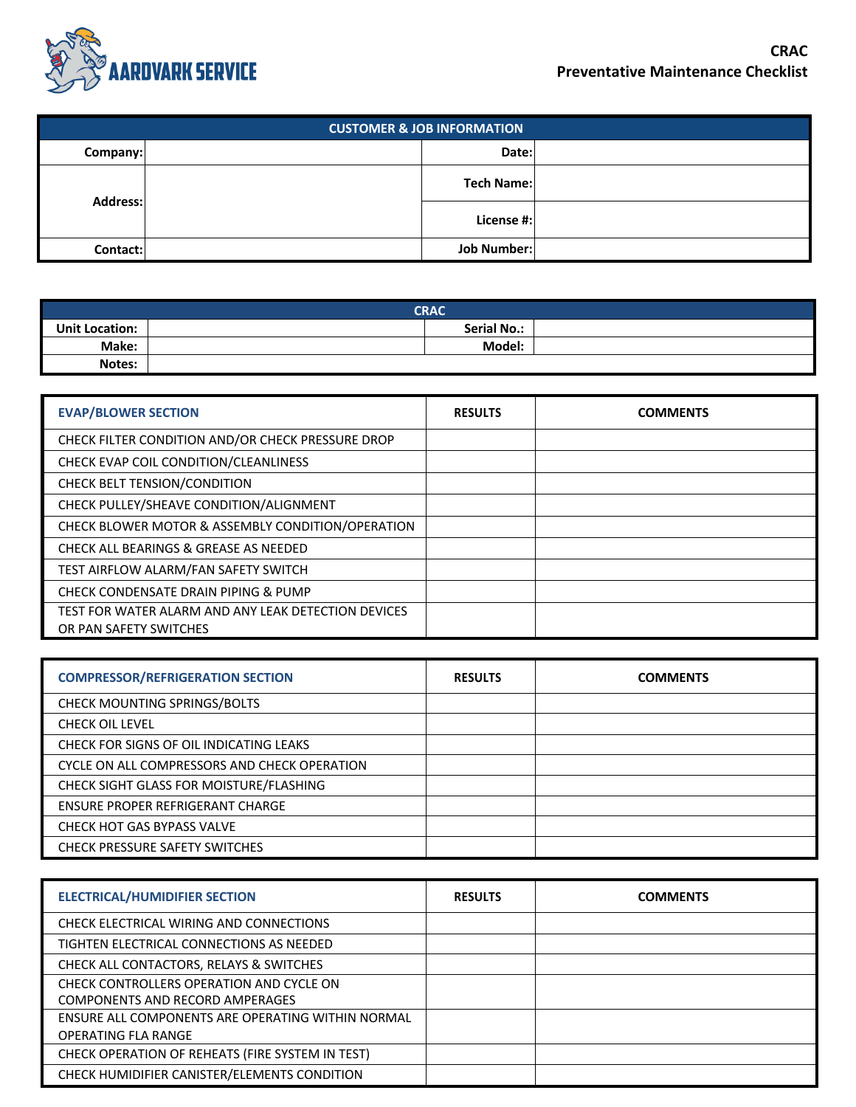

| <b>CUSTOMER &amp; JOB INFORMATION</b> |            |             |  |
|---------------------------------------|------------|-------------|--|
| Company:                              |            | Date:       |  |
|                                       | Tech Name: |             |  |
| <b>Address:</b>                       |            | License #:  |  |
| Contact:                              |            | Job Number: |  |

| <b>CRAC</b>                                 |  |        |  |
|---------------------------------------------|--|--------|--|
| <b>Serial No.:</b><br><b>Unit Location:</b> |  |        |  |
| Make:                                       |  | Model: |  |
| Notes:                                      |  |        |  |

| <b>EVAP/BLOWER SECTION</b>                                                    | <b>RESULTS</b> | <b>COMMENTS</b> |
|-------------------------------------------------------------------------------|----------------|-----------------|
| CHECK FILTER CONDITION AND/OR CHECK PRESSURE DROP                             |                |                 |
| CHECK EVAP COIL CONDITION/CLEANLINESS                                         |                |                 |
| CHECK BELT TENSION/CONDITION                                                  |                |                 |
| CHECK PULLEY/SHEAVE CONDITION/ALIGNMENT                                       |                |                 |
| CHECK BLOWER MOTOR & ASSEMBLY CONDITION/OPERATION                             |                |                 |
| <b>CHECK ALL BEARINGS &amp; GREASE AS NEEDED</b>                              |                |                 |
| TEST AIRFLOW ALARM/FAN SAFETY SWITCH                                          |                |                 |
| CHECK CONDENSATE DRAIN PIPING & PUMP                                          |                |                 |
| TEST FOR WATER ALARM AND ANY LEAK DETECTION DEVICES<br>OR PAN SAFETY SWITCHES |                |                 |

| <b>COMPRESSOR/REFRIGERATION SECTION</b>      | <b>RESULTS</b> | <b>COMMENTS</b> |
|----------------------------------------------|----------------|-----------------|
| <b>CHECK MOUNTING SPRINGS/BOLTS</b>          |                |                 |
| <b>CHECK OIL LEVEL</b>                       |                |                 |
| CHECK FOR SIGNS OF OIL INDICATING LEAKS      |                |                 |
| CYCLE ON ALL COMPRESSORS AND CHECK OPERATION |                |                 |
| CHECK SIGHT GLASS FOR MOISTURE/FLASHING      |                |                 |
| ENSURE PROPER REFRIGERANT CHARGE             |                |                 |
| CHECK HOT GAS BYPASS VALVE                   |                |                 |
| <b>CHECK PRESSURE SAFETY SWITCHES</b>        |                |                 |

| <b>ELECTRICAL/HUMIDIFIER SECTION</b>              | <b>RESULTS</b> | <b>COMMENTS</b> |
|---------------------------------------------------|----------------|-----------------|
| CHECK ELECTRICAL WIRING AND CONNECTIONS           |                |                 |
| TIGHTEN ELECTRICAL CONNECTIONS AS NEEDED          |                |                 |
| CHECK ALL CONTACTORS, RELAYS & SWITCHES           |                |                 |
| CHECK CONTROLLERS OPERATION AND CYCLE ON          |                |                 |
| COMPONENTS AND RECORD AMPERAGES                   |                |                 |
| ENSURE ALL COMPONENTS ARE OPERATING WITHIN NORMAL |                |                 |
| <b>OPERATING FLA RANGE</b>                        |                |                 |
| CHECK OPERATION OF REHEATS (FIRE SYSTEM IN TEST)  |                |                 |
| CHECK HUMIDIFIER CANISTER/ELEMENTS CONDITION      |                |                 |